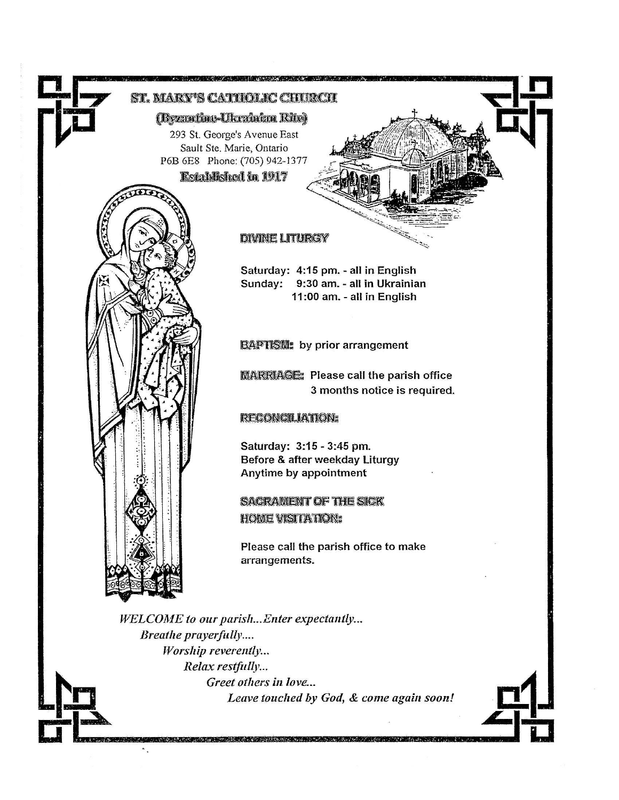

Leave touched by God, & come again soon!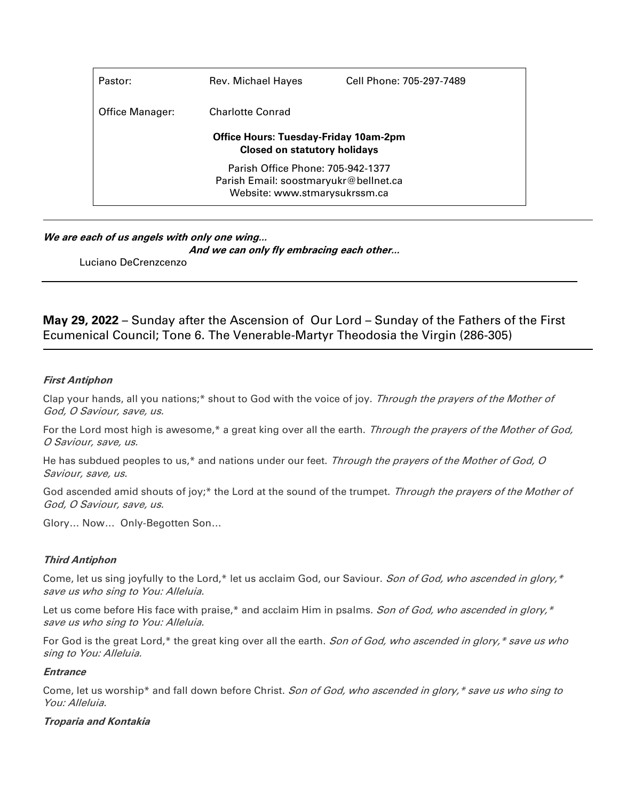| Pastor:                                                                             | Rev. Michael Hayes            | Cell Phone: 705-297-7489 |  |  |
|-------------------------------------------------------------------------------------|-------------------------------|--------------------------|--|--|
| Office Manager:                                                                     | <b>Charlotte Conrad</b>       |                          |  |  |
| <b>Office Hours: Tuesday-Friday 10am-2pm</b><br><b>Closed on statutory holidays</b> |                               |                          |  |  |
| Parish Office Phone: 705-942-1377                                                   |                               |                          |  |  |
| Parish Email: soostmaryukr@bellnet.ca                                               |                               |                          |  |  |
|                                                                                     | Website: www.stmarysukrssm.ca |                          |  |  |

# **We are each of us angels with only one wing...**

**And we can only fly embracing each other...**

Luciano DeCrenzcenzo

**May 29, 2022** – Sunday after the Ascension of Our Lord – Sunday of the Fathers of the First Ecumenical Council; Tone 6. The Venerable-Martyr Theodosia the Virgin (286-305)

## **First Antiphon**

Clap your hands, all you nations;\* shout to God with the voice of joy. Through the prayers of the Mother of God, O Saviour, save, us.

For the Lord most high is awesome,\* a great king over all the earth. Through the prayers of the Mother of God, O Saviour, save, us.

He has subdued peoples to us,\* and nations under our feet. Through the prayers of the Mother of God, O Saviour, save, us.

God ascended amid shouts of joy;\* the Lord at the sound of the trumpet. Through the prayers of the Mother of God, O Saviour, save, us.

Glory… Now… Only-Begotten Son…

## **Third Antiphon**

Come, let us sing joyfully to the Lord,\* let us acclaim God, our Saviour. Son of God, who ascended in glory,\* save us who sing to You: Alleluia.

Let us come before His face with praise,\* and acclaim Him in psalms. Son of God, who ascended in glory,\* save us who sing to You: Alleluia.

For God is the great Lord,\* the great king over all the earth. Son of God, who ascended in glory,\* save us who sing to You: Alleluia.

#### **Entrance**

Come, let us worship\* and fall down before Christ. Son of God, who ascended in glory, \* save us who sing to You: Alleluia.

## **Troparia and Kontakia**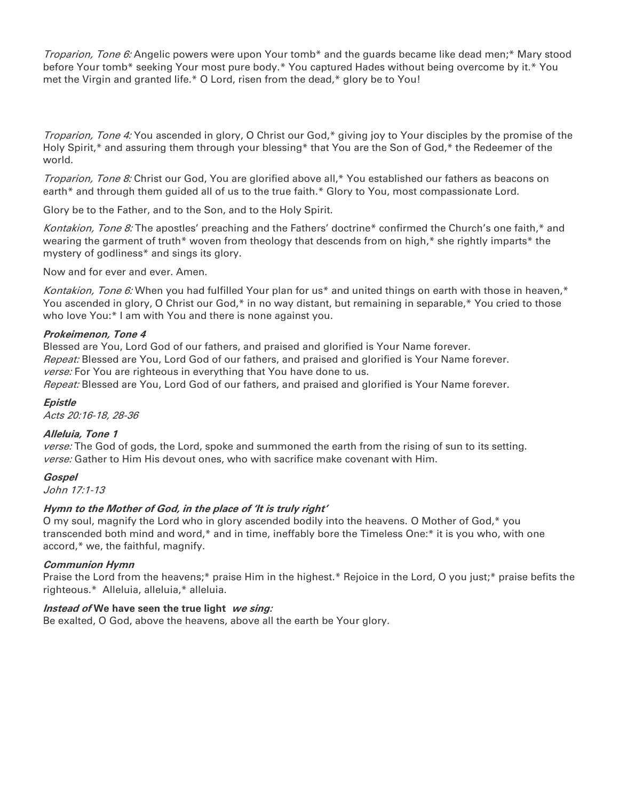Troparion, Tone 6: Angelic powers were upon Your tomb<sup>\*</sup> and the guards became like dead men;<sup>\*</sup> Mary stood before Your tomb\* seeking Your most pure body.\* You captured Hades without being overcome by it.\* You met the Virgin and granted life.\* O Lord, risen from the dead,\* glory be to You!

Troparion, Tone 4: You ascended in glory, O Christ our God,\* giving joy to Your disciples by the promise of the Holy Spirit,\* and assuring them through your blessing\* that You are the Son of God,\* the Redeemer of the world.

Troparion, Tone 8: Christ our God, You are glorified above all,\* You established our fathers as beacons on earth<sup>\*</sup> and through them guided all of us to the true faith.\* Glory to You, most compassionate Lord.

Glory be to the Father, and to the Son, and to the Holy Spirit.

Kontakion, Tone 8: The apostles' preaching and the Fathers' doctrine\* confirmed the Church's one faith,\* and wearing the garment of truth\* woven from theology that descends from on high,\* she rightly imparts\* the mystery of godliness\* and sings its glory.

Now and for ever and ever. Amen.

Kontakion, Tone 6: When you had fulfilled Your plan for us\* and united things on earth with those in heaven,\* You ascended in glory, O Christ our God,\* in no way distant, but remaining in separable,\* You cried to those who love You:\* I am with You and there is none against you.

### **Prokeimenon, Tone 4**

Blessed are You, Lord God of our fathers, and praised and glorified is Your Name forever. Repeat: Blessed are You, Lord God of our fathers, and praised and glorified is Your Name forever. verse: For You are righteous in everything that You have done to us.

Repeat: Blessed are You, Lord God of our fathers, and praised and glorified is Your Name forever.

### **Epistle**

Acts 20:16-18, 28-36

## **Alleluia, Tone 1**

verse: The God of gods, the Lord, spoke and summoned the earth from the rising of sun to its setting. verse: Gather to Him His devout ones, who with sacrifice make covenant with Him.

#### **Gospel**

John 17:1-13

## **Hymn to the Mother of God, in the place of 'It is truly right'**

O my soul, magnify the Lord who in glory ascended bodily into the heavens. O Mother of God,\* you transcended both mind and word,\* and in time, ineffably bore the Timeless One:\* it is you who, with one accord,\* we, the faithful, magnify.

#### **Communion Hymn**

Praise the Lord from the heavens;\* praise Him in the highest.\* Rejoice in the Lord, O you just;\* praise befits the righteous.\* Alleluia, alleluia,\* alleluia.

#### **Instead of We have seen the true light we sing:**

Be exalted, O God, above the heavens, above all the earth be Your glory.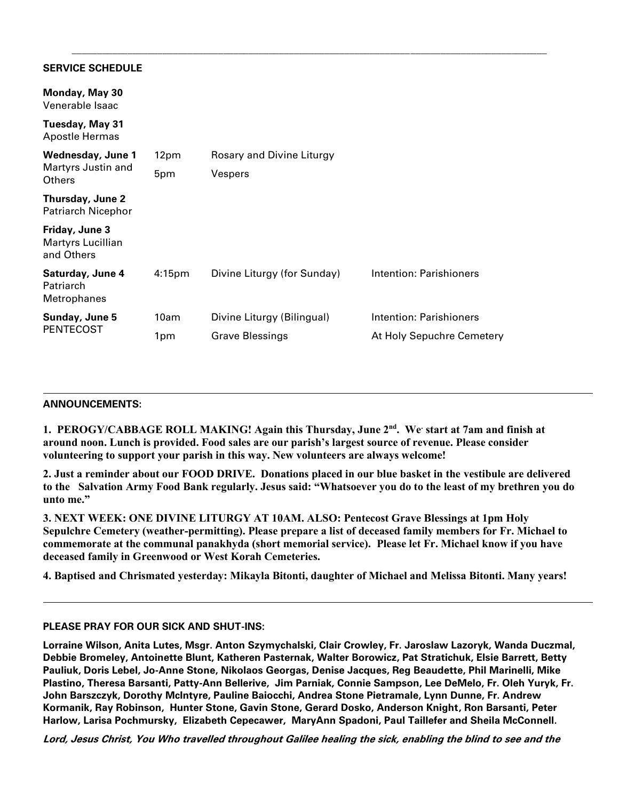### **SERVICE SCHEDULE**

| Monday, May 30<br>Venerable Isaac                        |                    |                             |                           |
|----------------------------------------------------------|--------------------|-----------------------------|---------------------------|
| <b>Tuesday, May 31</b><br>Apostle Hermas                 |                    |                             |                           |
| <b>Wednesday, June 1</b><br>Martyrs Justin and<br>Others | 12pm               | Rosary and Divine Liturgy   |                           |
|                                                          | 5pm                | Vespers                     |                           |
| Thursday, June 2<br><b>Patriarch Nicephor</b>            |                    |                             |                           |
| Friday, June 3<br><b>Martyrs Lucillian</b><br>and Others |                    |                             |                           |
| Saturday, June 4<br>Patriarch<br><b>Metrophanes</b>      | 4:15 <sub>pm</sub> | Divine Liturgy (for Sunday) | Intention: Parishioners   |
| Sunday, June 5<br><b>PENTECOST</b>                       | 10am               | Divine Liturgy (Bilingual)  | Intention: Parishioners   |
|                                                          | 1pm                | <b>Grave Blessings</b>      | At Holy Sepuchre Cemetery |

\_\_\_\_\_\_\_\_\_\_\_\_\_\_\_\_\_\_\_\_\_\_\_\_\_\_\_\_\_\_\_\_\_\_\_\_\_\_\_\_\_\_\_\_\_\_\_\_\_\_\_\_\_\_\_\_\_\_\_\_\_\_\_\_\_\_\_\_\_\_\_\_\_\_\_\_\_\_\_\_\_\_\_\_\_\_\_\_\_\_\_\_\_\_

#### **ANNOUNCEMENTS:**

**1. PEROGY/CABBAGE ROLL MAKING! Again this Thursday, June 2nd . We. start at 7am and finish at around noon. Lunch is provided. Food sales are our parish's largest source of revenue. Please consider volunteering to support your parish in this way. New volunteers are always welcome!**

**2. Just a reminder about our FOOD DRIVE. Donations placed in our blue basket in the vestibule are delivered to the Salvation Army Food Bank regularly. Jesus said: "Whatsoever you do to the least of my brethren you do unto me."**

**3. NEXT WEEK: ONE DIVINE LITURGY AT 10AM. ALSO: Pentecost Grave Blessings at 1pm Holy Sepulchre Cemetery (weather-permitting). Please prepare a list of deceased family members for Fr. Michael to commemorate at the communal panakhyda (short memorial service). Please let Fr. Michael know if you have deceased family in Greenwood or West Korah Cemeteries.** 

**4. Baptised and Chrismated yesterday: Mikayla Bitonti, daughter of Michael and Melissa Bitonti. Many years!**

#### **PLEASE PRAY FOR OUR SICK AND SHUT-INS:**

**Lorraine Wilson, Anita Lutes, Msgr. Anton Szymychalski, Clair Crowley, Fr. Jaroslaw Lazoryk, Wanda Duczmal, Debbie Bromeley, Antoinette Blunt, Katheren Pasternak, Walter Borowicz, Pat Stratichuk, Elsie Barrett, Betty Pauliuk, Doris Lebel, Jo-Anne Stone, Nikolaos Georgas, Denise Jacques, Reg Beaudette, Phil Marinelli, Mike Plastino, Theresa Barsanti, Patty-Ann Bellerive, Jim Parniak, Connie Sampson, Lee DeMelo, Fr. Oleh Yuryk, Fr. John Barszczyk, Dorothy McIntyre, Pauline Baiocchi, Andrea Stone Pietramale, Lynn Dunne, Fr. Andrew Kormanik, Ray Robinson, Hunter Stone, Gavin Stone, Gerard Dosko, Anderson Knight, Ron Barsanti, Peter Harlow, Larisa Pochmursky, Elizabeth Cepecawer, MaryAnn Spadoni, Paul Taillefer and Sheila McConnell.**

**Lord, Jesus Christ, You Who travelled throughout Galilee healing the sick, enabling the blind to see and the**